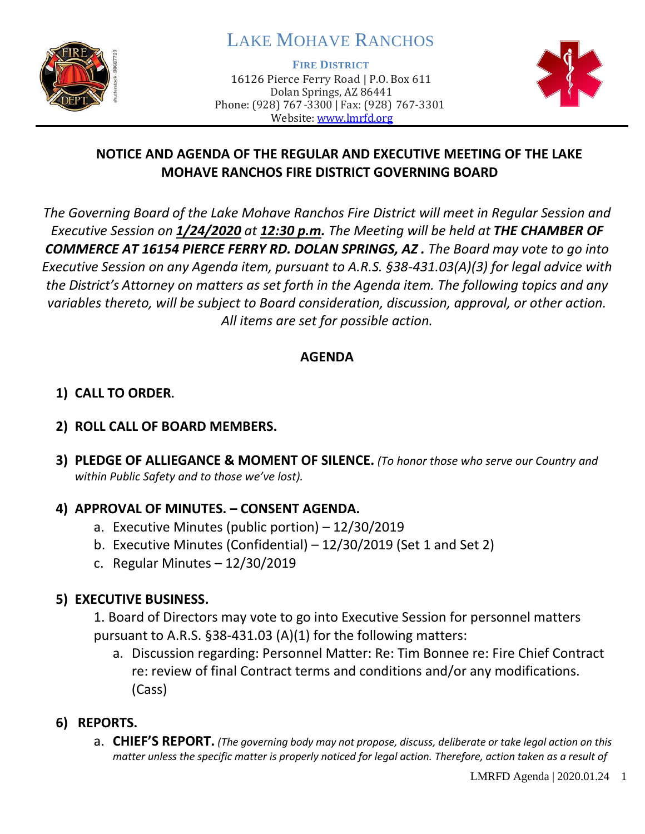

# LAKE MOHAVE RANCHOS

**FIRE DISTRICT**

16126 Pierce Ferry Road | P.O. Box 611 Dolan Springs, AZ 86441 Phone: (928) 767-3300 | Fax: (928) 767-3301 Website: [www.lmrfd.org](http://www.lmrfd.org/)



# **NOTICE AND AGENDA OF THE REGULAR AND EXECUTIVE MEETING OF THE LAKE MOHAVE RANCHOS FIRE DISTRICT GOVERNING BOARD**

*The Governing Board of the Lake Mohave Ranchos Fire District will meet in Regular Session and Executive Session on 1/24/2020 at 12:30 p.m. The Meeting will be held at THE CHAMBER OF COMMERCE AT 16154 PIERCE FERRY RD. DOLAN SPRINGS, AZ . The Board may vote to go into Executive Session on any Agenda item, pursuant to A.R.S. §38-431.03(A)(3) for legal advice with the District's Attorney on matters as set forth in the Agenda item. The following topics and any variables thereto, will be subject to Board consideration, discussion, approval, or other action. All items are set for possible action.* 

## **AGENDA**

# **1) CALL TO ORDER.**

## **2) ROLL CALL OF BOARD MEMBERS.**

**3) PLEDGE OF ALLIEGANCE & MOMENT OF SILENCE.** *(To honor those who serve our Country and within Public Safety and to those we've lost).*

# **4) APPROVAL OF MINUTES. – CONSENT AGENDA.**

- a. Executive Minutes (public portion) 12/30/2019
- b. Executive Minutes (Confidential) 12/30/2019 (Set 1 and Set 2)
- c. Regular Minutes 12/30/2019

# **5) EXECUTIVE BUSINESS.**

1. Board of Directors may vote to go into Executive Session for personnel matters pursuant to A.R.S. §38-431.03 (A)(1) for the following matters:

- a. Discussion regarding: Personnel Matter: Re: Tim Bonnee re: Fire Chief Contract re: review of final Contract terms and conditions and/or any modifications. (Cass)
- **6) REPORTS.** 
	- a. **CHIEF'S REPORT.** *(The governing body may not propose, discuss, deliberate or take legal action on this matter unless the specific matter is properly noticed for legal action. Therefore, action taken as a result of*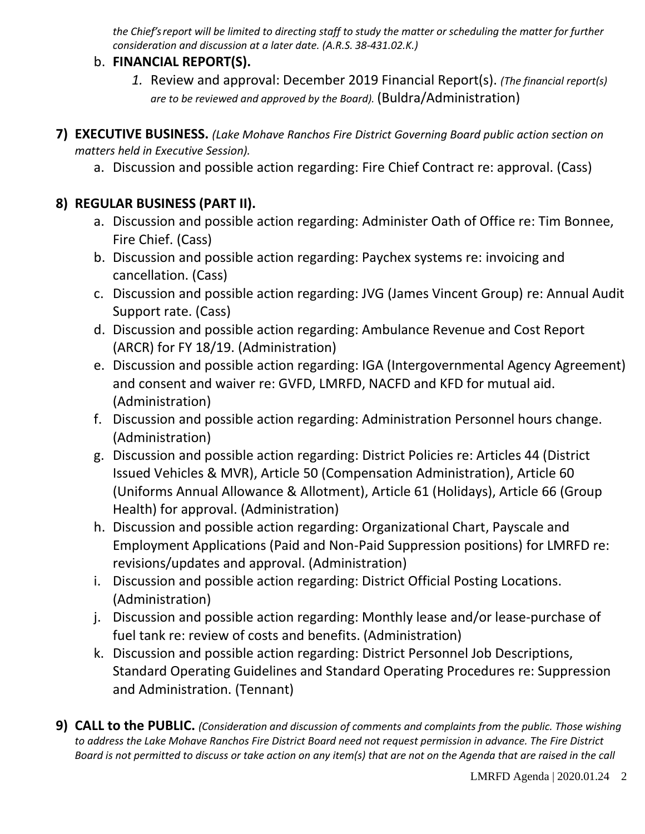*the Chief's report will be limited to directing staff to study the matter or scheduling the matter for further consideration and discussion at a later date. (A.R.S. 38-431.02.K.)*

#### b. **FINANCIAL REPORT(S).**

- *1.* Review and approval: December 2019 Financial Report(s). *(The financial report(s) are to be reviewed and approved by the Board).* (Buldra/Administration)
- **7) EXECUTIVE BUSINESS.** *(Lake Mohave Ranchos Fire District Governing Board public action section on matters held in Executive Session).*
	- a. Discussion and possible action regarding: Fire Chief Contract re: approval. (Cass)

# **8) REGULAR BUSINESS (PART II).**

- a. Discussion and possible action regarding: Administer Oath of Office re: Tim Bonnee, Fire Chief. (Cass)
- b. Discussion and possible action regarding: Paychex systems re: invoicing and cancellation. (Cass)
- c. Discussion and possible action regarding: JVG (James Vincent Group) re: Annual Audit Support rate. (Cass)
- d. Discussion and possible action regarding: Ambulance Revenue and Cost Report (ARCR) for FY 18/19. (Administration)
- e. Discussion and possible action regarding: IGA (Intergovernmental Agency Agreement) and consent and waiver re: GVFD, LMRFD, NACFD and KFD for mutual aid. (Administration)
- f. Discussion and possible action regarding: Administration Personnel hours change. (Administration)
- g. Discussion and possible action regarding: District Policies re: Articles 44 (District Issued Vehicles & MVR), Article 50 (Compensation Administration), Article 60 (Uniforms Annual Allowance & Allotment), Article 61 (Holidays), Article 66 (Group Health) for approval. (Administration)
- h. Discussion and possible action regarding: Organizational Chart, Payscale and Employment Applications (Paid and Non-Paid Suppression positions) for LMRFD re: revisions/updates and approval. (Administration)
- i. Discussion and possible action regarding: District Official Posting Locations. (Administration)
- j. Discussion and possible action regarding: Monthly lease and/or lease-purchase of fuel tank re: review of costs and benefits. (Administration)
- k. Discussion and possible action regarding: District Personnel Job Descriptions, Standard Operating Guidelines and Standard Operating Procedures re: Suppression and Administration. (Tennant)
- **9) CALL to the PUBLIC.** *(Consideration and discussion of comments and complaints from the public. Those wishing to address the Lake Mohave Ranchos Fire District Board need not request permission in advance. The Fire District Board is not permitted to discuss or take action on any item(s) that are not on the Agenda that are raised in the call*